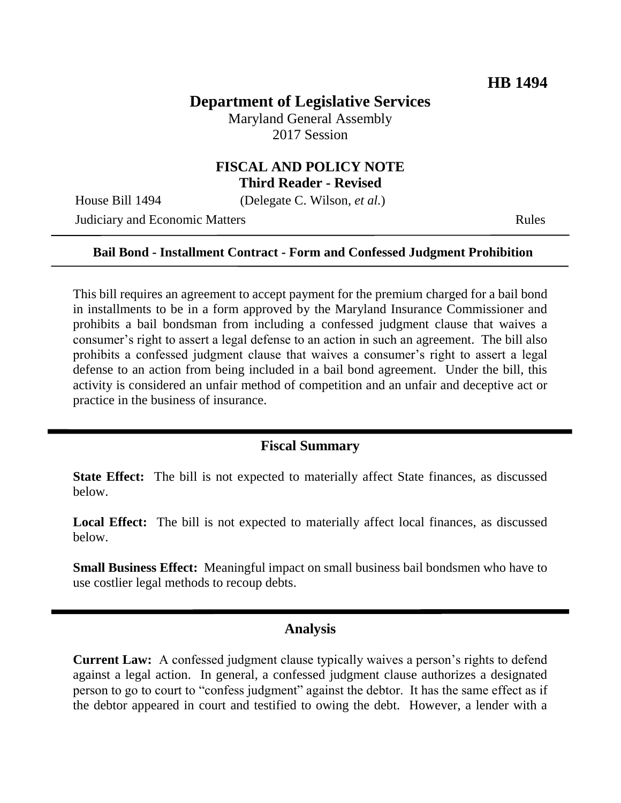# **Department of Legislative Services**

Maryland General Assembly 2017 Session

### **FISCAL AND POLICY NOTE Third Reader - Revised**

House Bill 1494 (Delegate C. Wilson, *et al.*)

**Judiciary and Economic Matters Rules** Rules

#### **Bail Bond - Installment Contract - Form and Confessed Judgment Prohibition**

This bill requires an agreement to accept payment for the premium charged for a bail bond in installments to be in a form approved by the Maryland Insurance Commissioner and prohibits a bail bondsman from including a confessed judgment clause that waives a consumer's right to assert a legal defense to an action in such an agreement. The bill also prohibits a confessed judgment clause that waives a consumer's right to assert a legal defense to an action from being included in a bail bond agreement. Under the bill, this activity is considered an unfair method of competition and an unfair and deceptive act or practice in the business of insurance.

## **Fiscal Summary**

**State Effect:** The bill is not expected to materially affect State finances, as discussed below.

**Local Effect:** The bill is not expected to materially affect local finances, as discussed below.

**Small Business Effect:** Meaningful impact on small business bail bondsmen who have to use costlier legal methods to recoup debts.

### **Analysis**

**Current Law:** A confessed judgment clause typically waives a person's rights to defend against a legal action. In general, a confessed judgment clause authorizes a designated person to go to court to "confess judgment" against the debtor. It has the same effect as if the debtor appeared in court and testified to owing the debt. However, a lender with a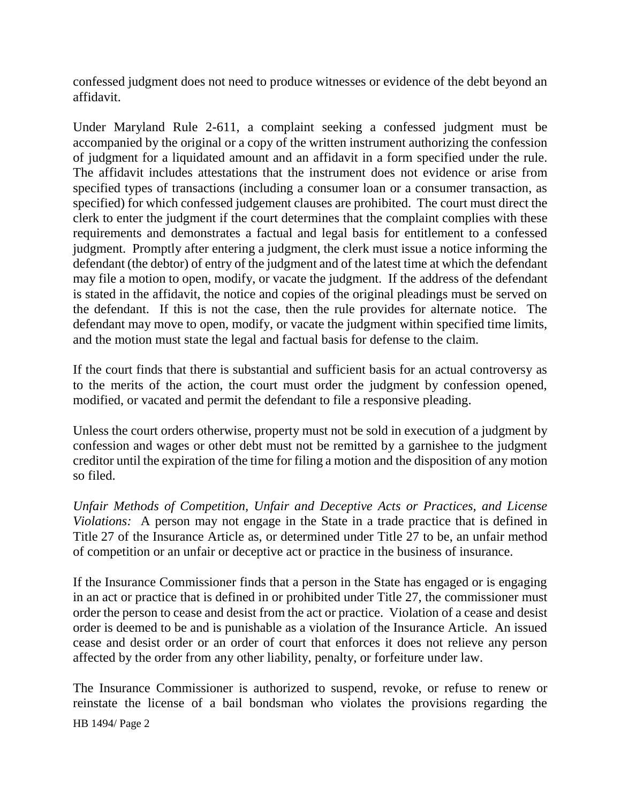confessed judgment does not need to produce witnesses or evidence of the debt beyond an affidavit.

Under Maryland Rule 2-611, a complaint seeking a confessed judgment must be accompanied by the original or a copy of the written instrument authorizing the confession of judgment for a liquidated amount and an affidavit in a form specified under the rule. The affidavit includes attestations that the instrument does not evidence or arise from specified types of transactions (including a consumer loan or a consumer transaction, as specified) for which confessed judgement clauses are prohibited. The court must direct the clerk to enter the judgment if the court determines that the complaint complies with these requirements and demonstrates a factual and legal basis for entitlement to a confessed judgment. Promptly after entering a judgment, the clerk must issue a notice informing the defendant (the debtor) of entry of the judgment and of the latest time at which the defendant may file a motion to open, modify, or vacate the judgment. If the address of the defendant is stated in the affidavit, the notice and copies of the original pleadings must be served on the defendant. If this is not the case, then the rule provides for alternate notice. The defendant may move to open, modify, or vacate the judgment within specified time limits, and the motion must state the legal and factual basis for defense to the claim.

If the court finds that there is substantial and sufficient basis for an actual controversy as to the merits of the action, the court must order the judgment by confession opened, modified, or vacated and permit the defendant to file a responsive pleading.

Unless the court orders otherwise, property must not be sold in execution of a judgment by confession and wages or other debt must not be remitted by a garnishee to the judgment creditor until the expiration of the time for filing a motion and the disposition of any motion so filed.

*Unfair Methods of Competition, Unfair and Deceptive Acts or Practices, and License Violations:* A person may not engage in the State in a trade practice that is defined in Title 27 of the Insurance Article as, or determined under Title 27 to be, an unfair method of competition or an unfair or deceptive act or practice in the business of insurance.

If the Insurance Commissioner finds that a person in the State has engaged or is engaging in an act or practice that is defined in or prohibited under Title 27, the commissioner must order the person to cease and desist from the act or practice. Violation of a cease and desist order is deemed to be and is punishable as a violation of the Insurance Article. An issued cease and desist order or an order of court that enforces it does not relieve any person affected by the order from any other liability, penalty, or forfeiture under law.

HB 1494/ Page 2 The Insurance Commissioner is authorized to suspend, revoke, or refuse to renew or reinstate the license of a bail bondsman who violates the provisions regarding the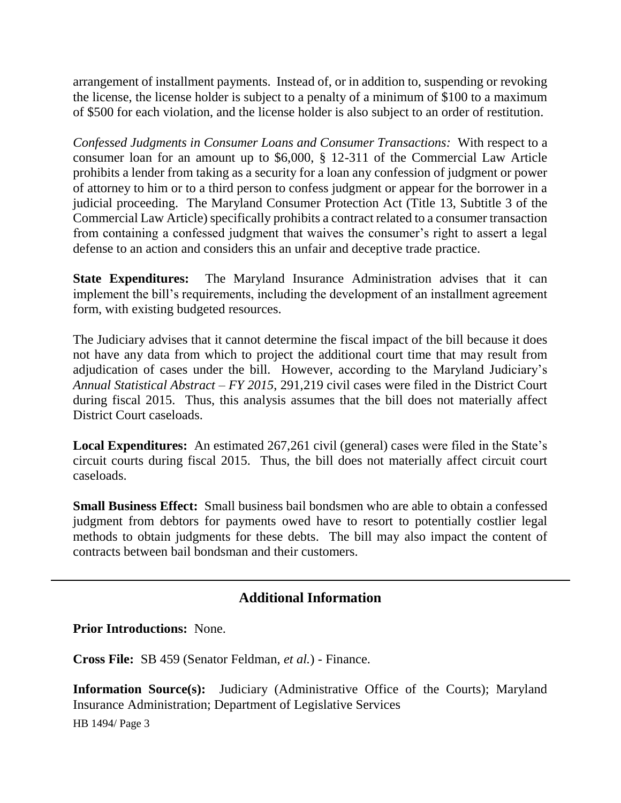arrangement of installment payments. Instead of, or in addition to, suspending or revoking the license, the license holder is subject to a penalty of a minimum of \$100 to a maximum of \$500 for each violation, and the license holder is also subject to an order of restitution.

*Confessed Judgments in Consumer Loans and Consumer Transactions:* With respect to a consumer loan for an amount up to \$6,000, § 12-311 of the Commercial Law Article prohibits a lender from taking as a security for a loan any confession of judgment or power of attorney to him or to a third person to confess judgment or appear for the borrower in a judicial proceeding. The Maryland Consumer Protection Act (Title 13, Subtitle 3 of the Commercial Law Article) specifically prohibits a contract related to a consumer transaction from containing a confessed judgment that waives the consumer's right to assert a legal defense to an action and considers this an unfair and deceptive trade practice.

**State Expenditures:** The Maryland Insurance Administration advises that it can implement the bill's requirements, including the development of an installment agreement form, with existing budgeted resources.

The Judiciary advises that it cannot determine the fiscal impact of the bill because it does not have any data from which to project the additional court time that may result from adjudication of cases under the bill. However, according to the Maryland Judiciary's *Annual Statistical Abstract – FY 2015*, 291,219 civil cases were filed in the District Court during fiscal 2015. Thus, this analysis assumes that the bill does not materially affect District Court caseloads.

**Local Expenditures:** An estimated 267,261 civil (general) cases were filed in the State's circuit courts during fiscal 2015. Thus, the bill does not materially affect circuit court caseloads.

**Small Business Effect:** Small business bail bondsmen who are able to obtain a confessed judgment from debtors for payments owed have to resort to potentially costlier legal methods to obtain judgments for these debts. The bill may also impact the content of contracts between bail bondsman and their customers.

## **Additional Information**

**Prior Introductions:** None.

**Cross File:** SB 459 (Senator Feldman, *et al.*) - Finance.

**Information Source(s):** Judiciary (Administrative Office of the Courts); Maryland Insurance Administration; Department of Legislative Services

HB 1494/ Page 3